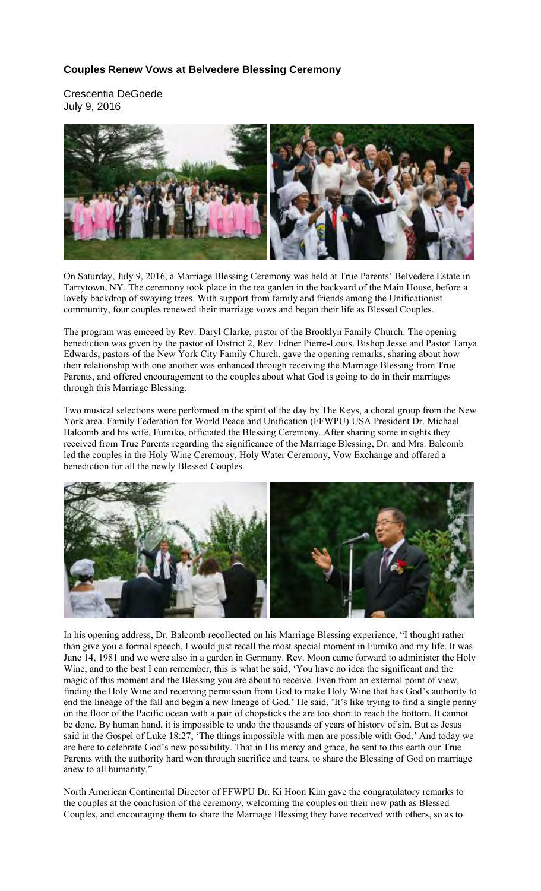## **Couples Renew Vows at Belvedere Blessing Ceremony**

Crescentia DeGoede July 9, 2016



On Saturday, July 9, 2016, a Marriage Blessing Ceremony was held at True Parents' Belvedere Estate in Tarrytown, NY. The ceremony took place in the tea garden in the backyard of the Main House, before a lovely backdrop of swaying trees. With support from family and friends among the Unificationist community, four couples renewed their marriage vows and began their life as Blessed Couples.

The program was emceed by Rev. Daryl Clarke, pastor of the Brooklyn Family Church. The opening benediction was given by the pastor of District 2, Rev. Edner Pierre-Louis. Bishop Jesse and Pastor Tanya Edwards, pastors of the New York City Family Church, gave the opening remarks, sharing about how their relationship with one another was enhanced through receiving the Marriage Blessing from True Parents, and offered encouragement to the couples about what God is going to do in their marriages through this Marriage Blessing.

Two musical selections were performed in the spirit of the day by The Keys, a choral group from the New York area. Family Federation for World Peace and Unification (FFWPU) USA President Dr. Michael Balcomb and his wife, Fumiko, officiated the Blessing Ceremony. After sharing some insights they received from True Parents regarding the significance of the Marriage Blessing, Dr. and Mrs. Balcomb led the couples in the Holy Wine Ceremony, Holy Water Ceremony, Vow Exchange and offered a benediction for all the newly Blessed Couples.



In his opening address, Dr. Balcomb recollected on his Marriage Blessing experience, "I thought rather than give you a formal speech, I would just recall the most special moment in Fumiko and my life. It was June 14, 1981 and we were also in a garden in Germany. Rev. Moon came forward to administer the Holy Wine, and to the best I can remember, this is what he said, 'You have no idea the significant and the magic of this moment and the Blessing you are about to receive. Even from an external point of view, finding the Holy Wine and receiving permission from God to make Holy Wine that has God's authority to end the lineage of the fall and begin a new lineage of God.' He said, 'It's like trying to find a single penny on the floor of the Pacific ocean with a pair of chopsticks the are too short to reach the bottom. It cannot be done. By human hand, it is impossible to undo the thousands of years of history of sin. But as Jesus said in the Gospel of Luke 18:27, 'The things impossible with men are possible with God.' And today we are here to celebrate God's new possibility. That in His mercy and grace, he sent to this earth our True Parents with the authority hard won through sacrifice and tears, to share the Blessing of God on marriage anew to all humanity."

North American Continental Director of FFWPU Dr. Ki Hoon Kim gave the congratulatory remarks to the couples at the conclusion of the ceremony, welcoming the couples on their new path as Blessed Couples, and encouraging them to share the Marriage Blessing they have received with others, so as to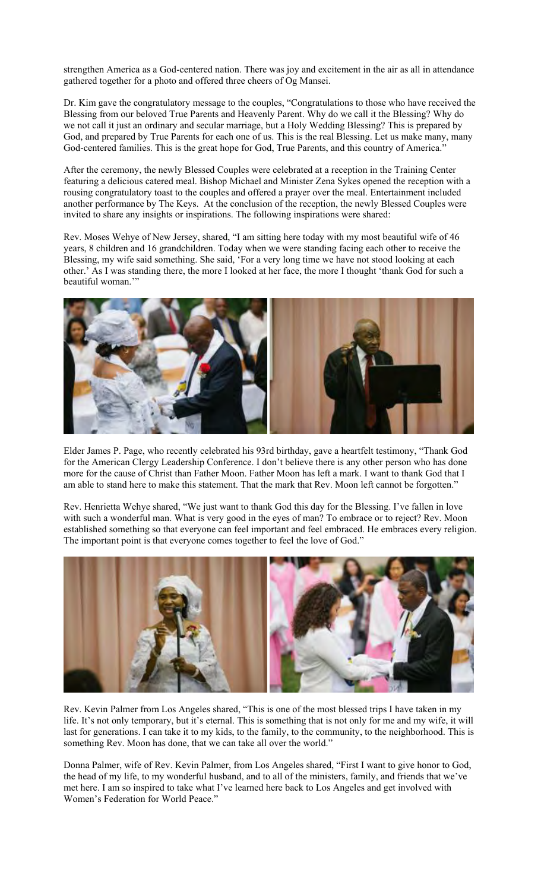strengthen America as a God-centered nation. There was joy and excitement in the air as all in attendance gathered together for a photo and offered three cheers of Og Mansei.

Dr. Kim gave the congratulatory message to the couples, "Congratulations to those who have received the Blessing from our beloved True Parents and Heavenly Parent. Why do we call it the Blessing? Why do we not call it just an ordinary and secular marriage, but a Holy Wedding Blessing? This is prepared by God, and prepared by True Parents for each one of us. This is the real Blessing. Let us make many, many God-centered families. This is the great hope for God, True Parents, and this country of America.'

After the ceremony, the newly Blessed Couples were celebrated at a reception in the Training Center featuring a delicious catered meal. Bishop Michael and Minister Zena Sykes opened the reception with a rousing congratulatory toast to the couples and offered a prayer over the meal. Entertainment included another performance by The Keys. At the conclusion of the reception, the newly Blessed Couples were invited to share any insights or inspirations. The following inspirations were shared:

Rev. Moses Wehye of New Jersey, shared, "I am sitting here today with my most beautiful wife of 46 years, 8 children and 16 grandchildren. Today when we were standing facing each other to receive the Blessing, my wife said something. She said, 'For a very long time we have not stood looking at each other.' As I was standing there, the more I looked at her face, the more I thought 'thank God for such a beautiful woman.""



Elder James P. Page, who recently celebrated his 93rd birthday, gave a heartfelt testimony, "Thank God for the American Clergy Leadership Conference. I don't believe there is any other person who has done more for the cause of Christ than Father Moon. Father Moon has left a mark. I want to thank God that I am able to stand here to make this statement. That the mark that Rev. Moon left cannot be forgotten."

Rev. Henrietta Wehye shared, "We just want to thank God this day for the Blessing. I've fallen in love with such a wonderful man. What is very good in the eyes of man? To embrace or to reject? Rev. Moon established something so that everyone can feel important and feel embraced. He embraces every religion. The important point is that everyone comes together to feel the love of God."



Rev. Kevin Palmer from Los Angeles shared, "This is one of the most blessed trips I have taken in my life. It's not only temporary, but it's eternal. This is something that is not only for me and my wife, it will last for generations. I can take it to my kids, to the family, to the community, to the neighborhood. This is something Rev. Moon has done, that we can take all over the world."

Donna Palmer, wife of Rev. Kevin Palmer, from Los Angeles shared, "First I want to give honor to God, the head of my life, to my wonderful husband, and to all of the ministers, family, and friends that we've met here. I am so inspired to take what I've learned here back to Los Angeles and get involved with Women's Federation for World Peace."